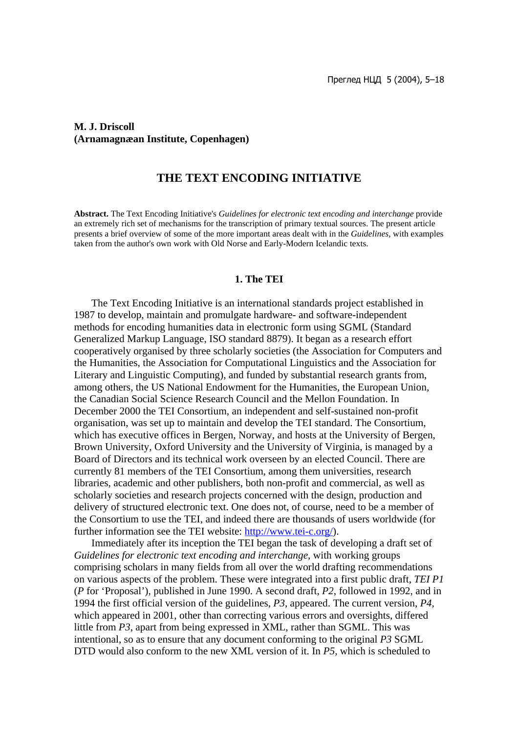### **M. J. Driscoll (Arnamagnæan Institute, Copenhagen)**

### **THE TEXT ENCODING INITIATIVE**

**Abstract.** The Text Encoding Initiative's *Guidelines for electronic text encoding and interchange* provide an extremely rich set of mechanisms for the transcription of primary textual sources. The present article presents a brief overview of some of the more important areas dealt with in the *Guidelines*, with examples taken from the author's own work with Old Norse and Early-Modern Icelandic texts.

#### **1. The TEI**

The Text Encoding Initiative is an international standards project established in 1987 to develop, maintain and promulgate hardware- and software-independent methods for encoding humanities data in electronic form using SGML (Standard Generalized Markup Language, ISO standard 8879). It began as a research effort cooperatively organised by three scholarly societies (the Association for Computers and the Humanities, the Association for Computational Linguistics and the Association for Literary and Linguistic Computing), and funded by substantial research grants from, among others, the US National Endowment for the Humanities, the European Union, the Canadian Social Science Research Council and the Mellon Foundation. In December 2000 the TEI Consortium, an independent and self-sustained non-profit organisation, was set up to maintain and develop the TEI standard. The Consortium, which has executive offices in Bergen, Norway, and hosts at the University of Bergen, Brown University, Oxford University and the University of Virginia, is managed by a Board of Directors and its technical work overseen by an elected Council. There are currently 81 members of the TEI Consortium, among them universities, research libraries, academic and other publishers, both non-profit and commercial, as well as scholarly societies and research projects concerned with the design, production and delivery of structured electronic text. One does not, of course, need to be a member of the Consortium to use the TEI, and indeed there are thousands of users worldwide (for further information see the TEI website: http://www.tei-c.org/).

Immediately after its inception the TEI began the task of developing a draft set of *Guidelines for electronic text encoding and interchange*, with working groups comprising scholars in many fields from all over the world drafting recommendations on various aspects of the problem. These were integrated into a first public draft, *TEI P1* (*P* for 'Proposal'), published in June 1990. A second draft, *P2*, followed in 1992, and in 1994 the first official version of the guidelines, *P3*, appeared. The current version, *P4*, which appeared in 2001, other than correcting various errors and oversights, differed little from *P3*, apart from being expressed in XML, rather than SGML. This was intentional, so as to ensure that any document conforming to the original *P3* SGML DTD would also conform to the new XML version of it. In *P5*, which is scheduled to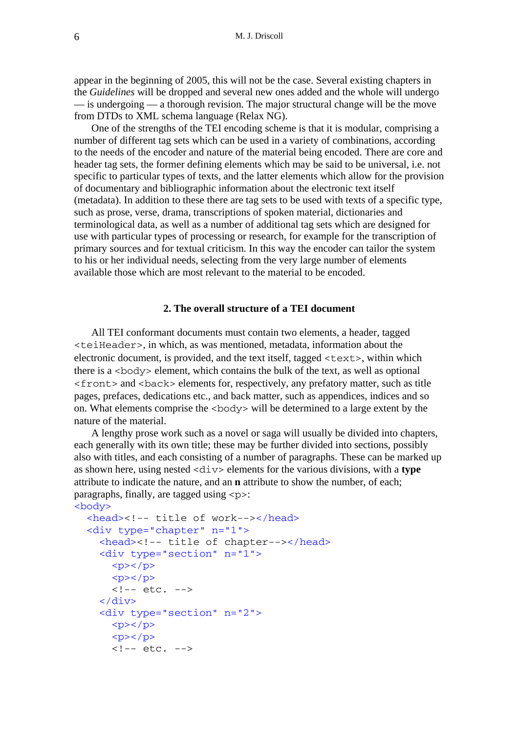appear in the beginning of 2005, this will not be the case. Several existing chapters in the *Guidelines* will be dropped and several new ones added and the whole will undergo  $\frac{1}{x}$  is undergoing  $\frac{1}{x}$  a thorough revision. The major structural change will be the move from DTDs to XML schema language (Relax NG).

One of the strengths of the TEI encoding scheme is that it is modular, comprising a number of different tag sets which can be used in a variety of combinations, according to the needs of the encoder and nature of the material being encoded. There are core and header tag sets, the former defining elements which may be said to be universal, i.e. not specific to particular types of texts, and the latter elements which allow for the provision of documentary and bibliographic information about the electronic text itself (metadata). In addition to these there are tag sets to be used with texts of a specific type, such as prose, verse, drama, transcriptions of spoken material, dictionaries and terminological data, as well as a number of additional tag sets which are designed for use with particular types of processing or research, for example for the transcription of primary sources and for textual criticism. In this way the encoder can tailor the system to his or her individual needs, selecting from the very large number of elements available those which are most relevant to the material to be encoded.

### **2. The overall structure of a TEI document**

All TEI conformant documents must contain two elements, a header, tagged <teiHeader>, in which, as was mentioned, metadata, information about the electronic document, is provided, and the text itself, tagged <text>, within which there is a  $\langle \text{body}\rangle$  element, which contains the bulk of the text, as well as optional <front> and <back> elements for, respectively, any prefatory matter, such as title pages, prefaces, dedications etc., and back matter, such as appendices, indices and so on. What elements comprise the <body> will be determined to a large extent by the nature of the material.

A lengthy prose work such as a novel or saga will usually be divided into chapters, each generally with its own title; these may be further divided into sections, possibly also with titles, and each consisting of a number of paragraphs. These can be marked up as shown here, using nested <div> elements for the various divisions, with a **type** attribute to indicate the nature, and an **n** attribute to show the number, of each; paragraphs, finally, are tagged using  $\langle p \rangle$ :

```
<body>
```

```
 <head><!-- title of work--></head>
 <div type="chapter" n="1">
   <head><!-- title of chapter--></head>
   <div type="section" n="1">
    <p><p><p><p><p>\langle \cdot | -- etc. -- \rangle\langle div\rangle <div type="section" n="2">
    <p><p><p>-p><p><p>\leftarrow :-- etc. -->
```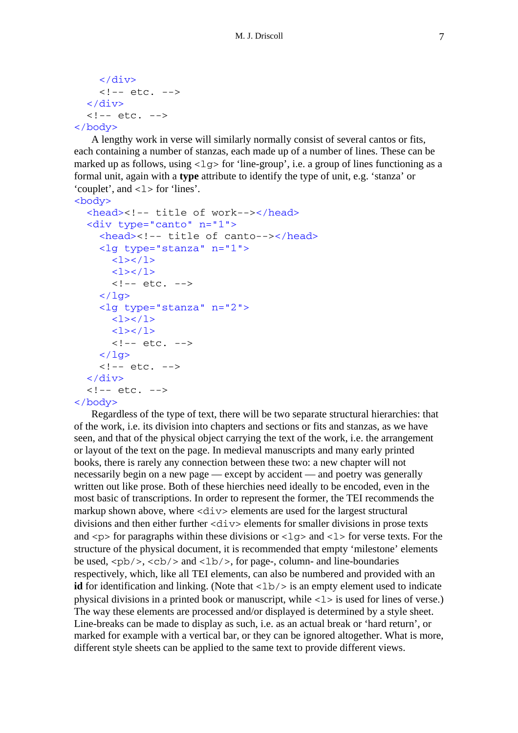```
\langlediv\rangle\left\langle -\right\rangle = - \left\langle -\right\rangle </div>
    \langle !-- etc. -->
</body>
```
A lengthy work in verse will similarly normally consist of several cantos or fits, each containing a number of stanzas, each made up of a number of lines. These can be marked up as follows, using  $\langle \log \rangle$  for 'line-group', i.e. a group of lines functioning as a formal unit, again with a **type** attribute to identify the type of unit, e.g. 'stanza' or 'couplet', and  $\langle 1 \rangle$  for 'lines'.

```
<body>
   <head><!-- title of work--></head>
   <div type="canto" n="1">
     <head><!-- title of canto--></head>
     <lg type="stanza" n="1">
       <1><1><1><1>\langle!-- etc. -->
    \langle / \log <lg type="stanza" n="2">
       <1><1><1><1>\langle !-- etc. -->
    \langle / \frac{1}{9}\leftarrow :-- etc. -->
   </div>
  \langle !-- etc. -->
</body>
```
Regardless of the type of text, there will be two separate structural hierarchies: that of the work, i.e. its division into chapters and sections or fits and stanzas, as we have seen, and that of the physical object carrying the text of the work, i.e. the arrangement or layout of the text on the page. In medieval manuscripts and many early printed books, there is rarely any connection between these two: a new chapter will not necessarily begin on a new page — except by accident — and poetry was generally written out like prose. Both of these hierchies need ideally to be encoded, even in the most basic of transcriptions. In order to represent the former, the TEI recommends the markup shown above, where <div> elements are used for the largest structural divisions and then either further  $\langle \text{div} \rangle$  elements for smaller divisions in prose texts and  $\langle p \rangle$  for paragraphs within these divisions or  $\langle 1g \rangle$  and  $\langle 1 \rangle$  for verse texts. For the structure of the physical document, it is recommended that empty 'milestone' elements be used,  $\langle pb \rangle$ ,  $\langle cb \rangle$  and  $\langle lb \rangle$ , for page-, column- and line-boundaries respectively, which, like all TEI elements, can also be numbered and provided with an **id** for identification and linking. (Note that  $\langle 1b \rangle$  is an empty element used to indicate physical divisions in a printed book or manuscript, while  $\langle 1 \rangle$  is used for lines of verse.) The way these elements are processed and/or displayed is determined by a style sheet. Line-breaks can be made to display as such, i.e. as an actual break or 'hard return', or marked for example with a vertical bar, or they can be ignored altogether. What is more, different style sheets can be applied to the same text to provide different views.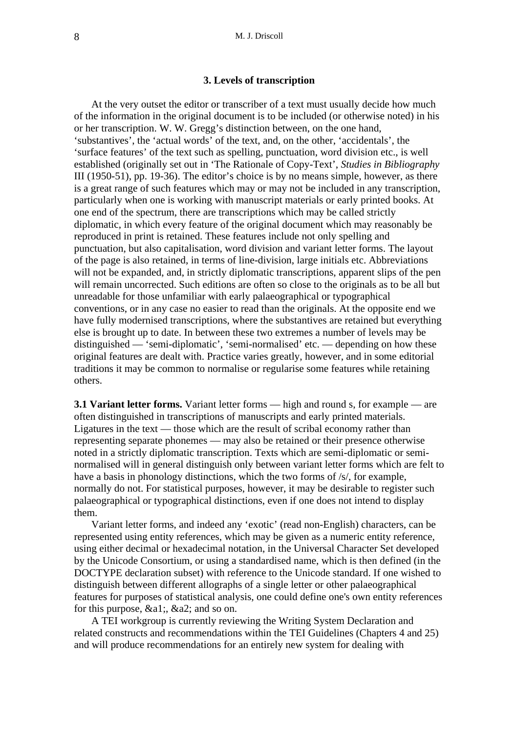### **3. Levels of transcription**

At the very outset the editor or transcriber of a text must usually decide how much of the information in the original document is to be included (or otherwise noted) in his or her transcription. W. W. Gregg's distinction between, on the one hand, 'substantives', the 'actual words' of the text, and, on the other, 'accidentals', the 'surface features' of the text such as spelling, punctuation, word division etc., is well established (originally set out in 'The Rationale of Copy-Text', *Studies in Bibliography* III (1950-51), pp. 19-36). The editor's choice is by no means simple, however, as there is a great range of such features which may or may not be included in any transcription, particularly when one is working with manuscript materials or early printed books. At one end of the spectrum, there are transcriptions which may be called strictly diplomatic, in which every feature of the original document which may reasonably be reproduced in print is retained. These features include not only spelling and punctuation, but also capitalisation, word division and variant letter forms. The layout of the page is also retained, in terms of line-division, large initials etc. Abbreviations will not be expanded, and, in strictly diplomatic transcriptions, apparent slips of the pen will remain uncorrected. Such editions are often so close to the originals as to be all but unreadable for those unfamiliar with early palaeographical or typographical conventions, or in any case no easier to read than the originals. At the opposite end we have fully modernised transcriptions, where the substantives are retained but everything else is brought up to date. In between these two extremes a number of levels may be distinguished — 'semi-diplomatic', 'semi-normalised' etc. — depending on how these original features are dealt with. Practice varies greatly, however, and in some editorial traditions it may be common to normalise or regularise some features while retaining others.

**3.1 Variant letter forms.** Variant letter forms — high and round s, for example — are often distinguished in transcriptions of manuscripts and early printed materials. Ligatures in the text — those which are the result of scribal economy rather than representing separate phonemes — may also be retained or their presence otherwise noted in a strictly diplomatic transcription. Texts which are semi-diplomatic or seminormalised will in general distinguish only between variant letter forms which are felt to have a basis in phonology distinctions, which the two forms of /s/, for example, normally do not. For statistical purposes, however, it may be desirable to register such palaeographical or typographical distinctions, even if one does not intend to display them.

Variant letter forms, and indeed any 'exotic' (read non-English) characters, can be represented using entity references, which may be given as a numeric entity reference, using either decimal or hexadecimal notation, in the Universal Character Set developed by the Unicode Consortium, or using a standardised name, which is then defined (in the DOCTYPE declaration subset) with reference to the Unicode standard. If one wished to distinguish between different allographs of a single letter or other palaeographical features for purposes of statistical analysis, one could define one's own entity references for this purpose, &a1;, &a2; and so on.

A TEI workgroup is currently reviewing the Writing System Declaration and related constructs and recommendations within the TEI Guidelines (Chapters 4 and 25) and will produce recommendations for an entirely new system for dealing with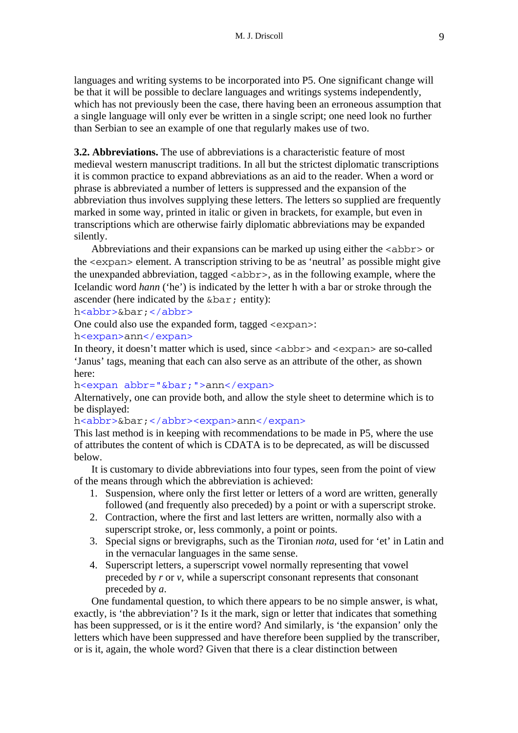languages and writing systems to be incorporated into P5. One significant change will be that it will be possible to declare languages and writings systems independently, which has not previously been the case, there having been an erroneous assumption that a single language will only ever be written in a single script; one need look no further than Serbian to see an example of one that regularly makes use of two.

**3.2. Abbreviations.** The use of abbreviations is a characteristic feature of most medieval western manuscript traditions. In all but the strictest diplomatic transcriptions it is common practice to expand abbreviations as an aid to the reader. When a word or phrase is abbreviated a number of letters is suppressed and the expansion of the abbreviation thus involves supplying these letters. The letters so supplied are frequently marked in some way, printed in italic or given in brackets, for example, but even in transcriptions which are otherwise fairly diplomatic abbreviations may be expanded silently.

Abbreviations and their expansions can be marked up using either the  $\langle \text{abbr} \rangle$  or the <expan> element. A transcription striving to be as 'neutral' as possible might give the unexpanded abbreviation, tagged  $\langle$  abbr>, as in the following example, where the Icelandic word *hann* ('he') is indicated by the letter h with a bar or stroke through the ascender (here indicated by the &bar; entity):

h<abbr>&bar;</abbr>

One could also use the expanded form, tagged <expan>:

h<expan>ann</expan>

In theory, it doesn't matter which is used, since  $\langle \text{abbr} \rangle$  and  $\langle \text{expan} \rangle$  are so-called 'Janus' tags, meaning that each can also serve as an attribute of the other, as shown here:

h<expan abbr="&bar;">ann</expan>

Alternatively, one can provide both, and allow the style sheet to determine which is to be displayed:

h<abbr>&bar;</abbr><expan>ann</expan>

This last method is in keeping with recommendations to be made in P5, where the use of attributes the content of which is CDATA is to be deprecated, as will be discussed below.

It is customary to divide abbreviations into four types, seen from the point of view of the means through which the abbreviation is achieved:

- 1. Suspension, where only the first letter or letters of a word are written, generally followed (and frequently also preceded) by a point or with a superscript stroke.
- 2. Contraction, where the first and last letters are written, normally also with a superscript stroke, or, less commonly, a point or points.
- 3. Special signs or brevigraphs, such as the Tironian *nota*, used for 'et' in Latin and in the vernacular languages in the same sense.
- 4. Superscript letters, a superscript vowel normally representing that vowel preceded by *r* or *v*, while a superscript consonant represents that consonant preceded by *a*.

One fundamental question, to which there appears to be no simple answer, is what, exactly, is 'the abbreviation'? Is it the mark, sign or letter that indicates that something has been suppressed, or is it the entire word? And similarly, is 'the expansion' only the letters which have been suppressed and have therefore been supplied by the transcriber, or is it, again, the whole word? Given that there is a clear distinction between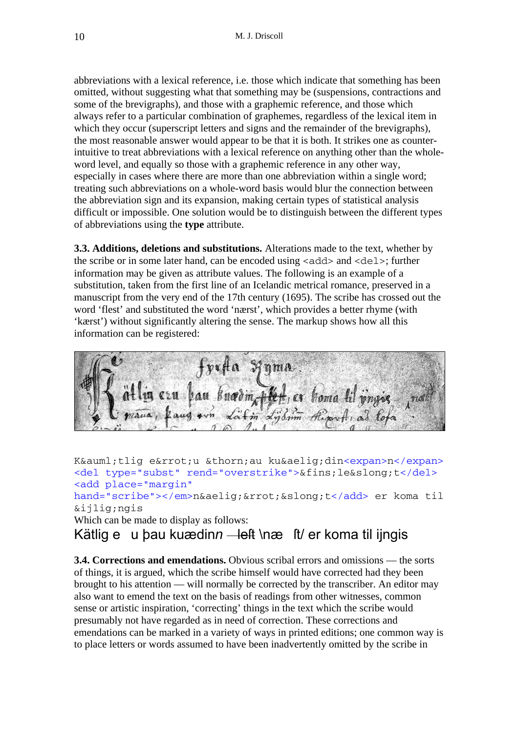abbreviations with a lexical reference, i.e. those which indicate that something has been omitted, without suggesting what that something may be (suspensions, contractions and some of the brevigraphs), and those with a graphemic reference, and those which always refer to a particular combination of graphemes, regardless of the lexical item in which they occur (superscript letters and signs and the remainder of the brevigraphs), the most reasonable answer would appear to be that it is both. It strikes one as counterintuitive to treat abbreviations with a lexical reference on anything other than the wholeword level, and equally so those with a graphemic reference in any other way, especially in cases where there are more than one abbreviation within a single word; treating such abbreviations on a whole-word basis would blur the connection between the abbreviation sign and its expansion, making certain types of statistical analysis difficult or impossible. One solution would be to distinguish between the different types of abbreviations using the **type** attribute.

**3.3. Additions, deletions and substitutions.** Alterations made to the text, whether by the scribe or in some later hand, can be encoded using  $\langle \text{add} \rangle$  and  $\langle \text{del} \rangle$ ; further information may be given as attribute values. The following is an example of a substitution, taken from the first line of an Icelandic metrical romance, preserved in a manuscript from the very end of the 17th century (1695). The scribe has crossed out the word 'flest' and substituted the word 'nærst', which provides a better rhyme (with 'kærst') without significantly altering the sense. The markup shows how all this information can be registered:

bau knodin Hert, er homa lil vnose

Kätlig e&rrot;u þau kuædin<expan>n</expan> <del type="subst" rend="overstrike">&fins;le&slong;t</del> <add place="margin" hand="scribe"></em>n&aelig;&rrot;&slong;t</add> er koma til ijngis Which can be made to display as follows:

Kätlig eu þau kuædin*n* — left \næ ft/ er koma til ijngis

**3.4. Corrections and emendations.** Obvious scribal errors and omissions — the sorts of things, it is argued, which the scribe himself would have corrected had they been brought to his attention — will normally be corrected by the transcriber. An editor may also want to emend the text on the basis of readings from other witnesses, common sense or artistic inspiration, 'correcting' things in the text which the scribe would presumably not have regarded as in need of correction. These corrections and emendations can be marked in a variety of ways in printed editions; one common way is to place letters or words assumed to have been inadvertently omitted by the scribe in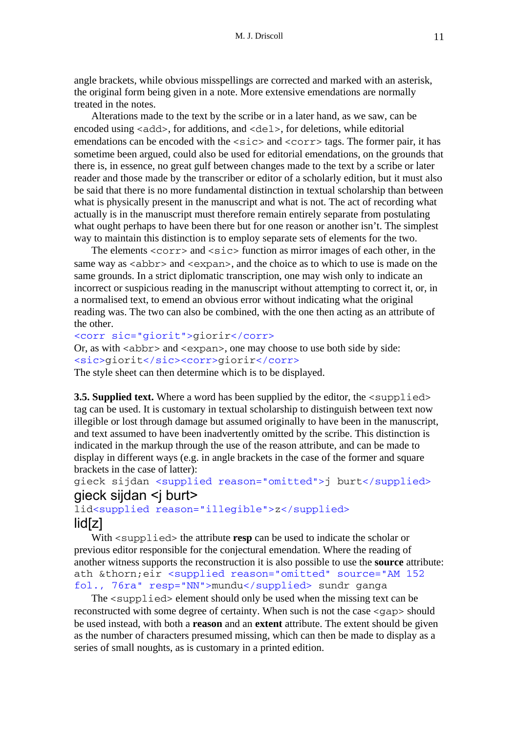angle brackets, while obvious misspellings are corrected and marked with an asterisk, the original form being given in a note. More extensive emendations are normally treated in the notes.

Alterations made to the text by the scribe or in a later hand, as we saw, can be encoded using  $\langle \text{add}\rangle$ , for additions, and  $\langle \text{del}\rangle$ , for deletions, while editorial emendations can be encoded with the  $\langle \text{size}\rangle$  and  $\langle \text{corr}\rangle$  tags. The former pair, it has sometime been argued, could also be used for editorial emendations, on the grounds that there is, in essence, no great gulf between changes made to the text by a scribe or later reader and those made by the transcriber or editor of a scholarly edition, but it must also be said that there is no more fundamental distinction in textual scholarship than between what is physically present in the manuscript and what is not. The act of recording what actually is in the manuscript must therefore remain entirely separate from postulating what ought perhaps to have been there but for one reason or another isn't. The simplest way to maintain this distinction is to employ separate sets of elements for the two.

The elements  $\langle \text{corr} \rangle$  and  $\langle \text{succ} \rangle$  function as mirror images of each other, in the same way as  $\langle$ abbr> and  $\langle$ expan>, and the choice as to which to use is made on the same grounds. In a strict diplomatic transcription, one may wish only to indicate an incorrect or suspicious reading in the manuscript without attempting to correct it, or, in a normalised text, to emend an obvious error without indicating what the original reading was. The two can also be combined, with the one then acting as an attribute of the other.

#### <corr sic="giorit">giorir</corr>

Or, as with  $\langle$  abbr> and  $\langle$  expan $\rangle$ , one may choose to use both side by side: <sic>giorit</sic><corr>giorir</corr> The style sheet can then determine which is to be displayed.

**3.5. Supplied text.** Where a word has been supplied by the editor, the  $\langle$ supplied> tag can be used. It is customary in textual scholarship to distinguish between text now illegible or lost through damage but assumed originally to have been in the manuscript, and text assumed to have been inadvertently omitted by the scribe. This distinction is indicated in the markup through the use of the reason attribute, and can be made to display in different ways (e.g. in angle brackets in the case of the former and square brackets in the case of latter):

### gieck sijdan <supplied reason="omitted">j burt</supplied> qieck sijdan <i burt>

lid<supplied reason="illegible">z</supplied> lid[z]

With  $\leq$ supplied the attribute **resp** can be used to indicate the scholar or previous editor responsible for the conjectural emendation. Where the reading of another witness supports the reconstruction it is also possible to use the **source** attribute: ath & thorn; eir < supplied reason="omitted" source="AM 152 fol., 76ra" resp="NN">mundu</supplied> sundr ganga

The <supplied> element should only be used when the missing text can be reconstructed with some degree of certainty. When such is not the case <gap> should be used instead, with both a **reason** and an **extent** attribute. The extent should be given as the number of characters presumed missing, which can then be made to display as a series of small noughts, as is customary in a printed edition.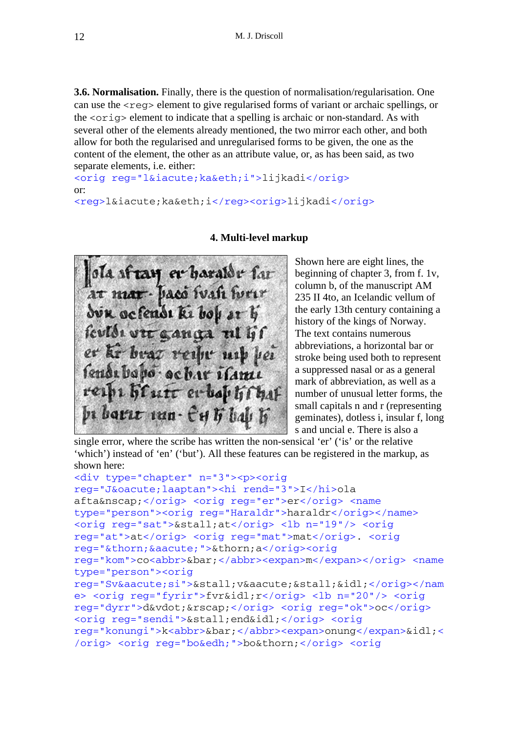**3.6. Normalisation.** Finally, there is the question of normalisation/regularisation. One can use the  $\langle$ reg> element to give regularised forms of variant or archaic spellings, or the <orig> element to indicate that a spelling is archaic or non-standard. As with several other of the elements already mentioned, the two mirror each other, and both allow for both the regularised and unregularised forms to be given, the one as the content of the element, the other as an attribute value, or, as has been said, as two separate elements, i.e. either:

<orig reg="l&iacute; ka&eth; i">lijkadi</orig> or: <reg>l&iacute; ka&eth; i</reg><orig>lijkadi</orig>



### **4. Multi-level markup**

Shown here are eight lines, the beginning of chapter 3, from f. 1v, column b, of the manuscript AM 235 II 4to, an Icelandic vellum of the early 13th century containing a history of the kings of Norway. The text contains numerous abbreviations, a horizontal bar or stroke being used both to represent a suppressed nasal or as a general mark of abbreviation, as well as a number of unusual letter forms, the small capitals n and r (representing geminates), dotless i, insular f, long s and uncial e. There is also a

single error, where the scribe has written the non-sensical 'er' ('is' or the relative 'which') instead of 'en' ('but'). All these features can be registered in the markup, as shown here:

```
<div type="chapter" n="3"><p><orig 
reg="J&oacute;laaptan"><hi rend="3">I</hi>ola 
afta&nscap;</orig> <orig reg="er">er</orig> <name 
type="person"><orig reg="Haraldr">haraldr</orig></name>
<orig reg="sat">&stall;at</orig> <lb n="19"/> <orig 
reg="at">at</orig> <orig reg="mat">mat</orig>. <orig 
reg="þ á ">þ a</orig><orig
reg="kom">co<abbr>&bar;</abbr><expan>m</expan></orig> <name 
type="person"><orig 
reg="Svási">&stall;vá&stall;&idl;</orig></nam
e> <orig reg="fyrir">fvr&idl;r</orig> <lb n="20"/> <orig 
reg="dyrr">d&vdot;&rscap;</orig> <orig reg="ok">oc</orig>
<orig reg="sendi">&stall;end&idl;</orig> <orig 
reg="konungi">k<abbr>&bar;</abbr><expan>onung</expan>&idl;<
/orig> <orig reg="bo&edh;">bo&thorn;</orig> <orig
```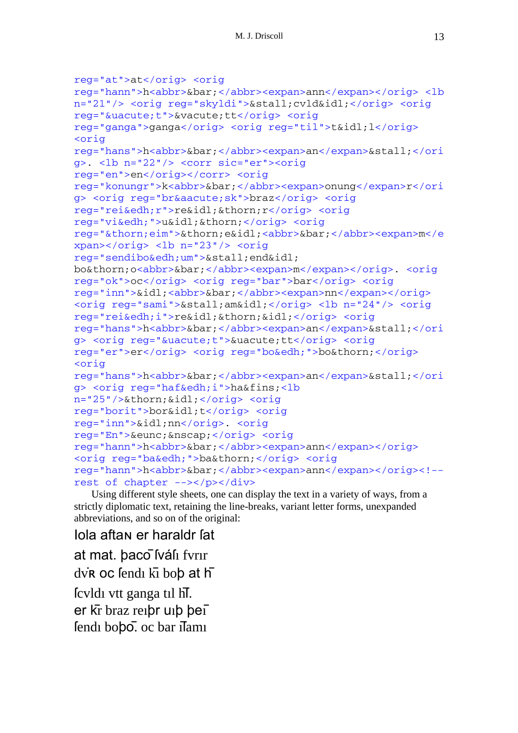```
reg="at">at</orig> <orig 
reg="hann">h<abbr>&bar;</abbr><expan>ann</expan></orig> <lb 
n="21"/> <orig reg="skyldi">&stall;cvld&idl;</orig> <orig 
reg="&uacute;t">&vacute;tt</orig> <orig 
reg="ganga">ganga</orig> <orig reg="til">t&idl;l</orig>
<orig 
reg="hans">h<abbr>&bar;</abbr><expan>an</expan>&stall;</ori
g>. <lb n="22"/> <corr sic="er"><orig 
reg="en">en</orig></corr> <orig 
reg="konungr">k<abbr>&bar;</abbr><expan>onung</expan>r</ori
g> <orig reg="br&aacute;sk">braz</orig> <orig 
reg="rei&edh;r">re&idl;&thorn;r</orig> <orig 
reg="vi&edh;">u&idl;&thorn;</orig> <orig 
reg="&thorn;eim">&thorn;e&idl;<abbr>&bar;</abbr><expan>m</e
xpan></orig> <lb n="23"/> <orig 
reg="sendibo&edh;um">&stall;end&idl; 
bo&thorn;o<abbr>&bar;</abbr><expan>m</expan></orig>. <orig 
reg="ok">oc</orig> <orig reg="bar">bar</orig> <orig 
reg="inn">&idl;<abbr>&bar;</abbr><expan>nn</expan></orig>
<orig reg="sami">&stall;am&idl;</orig> <lb n="24"/> <orig 
reg="rei&edh;i">re&idl;&thorn;&idl;</orig> <orig 
reg="hans">h<abbr>&bar;</abbr><expan>an</expan>&stall;</ori
g> <orig reg="&uacute;t">&uacute;tt</orig> <orig
reg="er">er</orig> <orig reg="bo&edh;">bo&thorn;</orig>
<orig 
reg="hans">h<abbr>&bar;</abbr><expan>an</expan>&stall;</ori
g> <orig reg="haf&edh;i">ha&fins;<lb 
n="25"/>þ &idl; </orig> <orig
reg="borit">bor&idl;t</orig> <orig 
reg="inn">&idl;nn</orig>. <orig 
reg="En">&eunc;&nscap;</orig> <orig 
reg="hann">h<abbr>&bar;</abbr><expan>ann</expan></orig>
<orig reg="ba&edh;">ba&thorn;</orig> <orig 
reg="hann">h<abbr>&bar;</abbr><expan>ann</expan></orig><!-- 
rest of chapter --></p></div>
```
Using different style sheets, one can display the text in a variety of ways, from a strictly diplomatic text, retaining the line-breaks, variant letter forms, unexpanded abbreviations, and so on of the original:

Iola aftaɴ er haraldr ſat at mat. þaco Íváli fyrir dvR oc fendi kī bob at h ſcvldı vtt ganga tıl h̄ſ. er k̄r braz reıþr uıþ þeı̄ fendı bobo. oc bar ilamı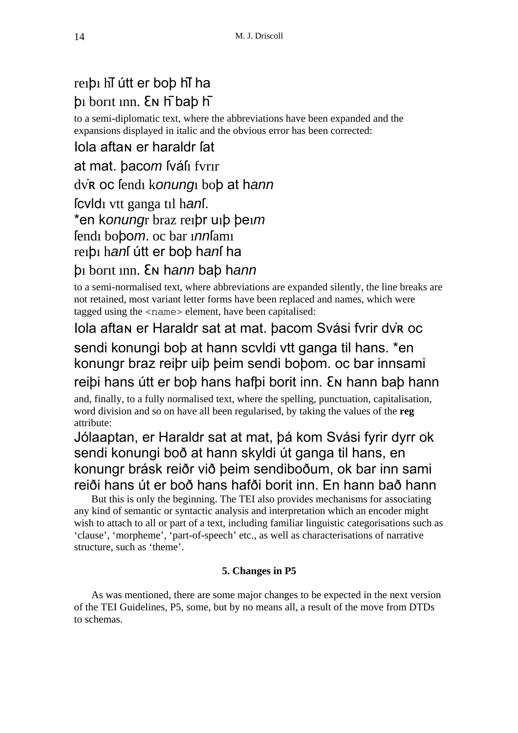### reiþi hī útt er boþ hī ha þı borıt ınn. Ɛɴ h̄ baþ h̄

to a semi-diplomatic text, where the abbreviations have been expanded and the expansions displayed in italic and the obvious error has been corrected:

## Iola aftaɴ er haraldr ſat

at mat. þaco*m* ſváſı fvrır

dv̇ʀ oc ſendı k*onung*ı boþ at h*ann*

ſcvldı vtt ganga tıl h*an*ſ.

\*en k*onung*r braz reıþr uıþ þeı*m*

ſendı boþo*m*. oc bar ı*nn*ſamı

reıþı h*an*ſ útt er boþ h*an*ſ ha

### þı borıt ınn. Ɛɴ h*ann* baþ h*ann*

to a semi-normalised text, where abbreviations are expanded silently, the line breaks are not retained, most variant letter forms have been replaced and names, which were tagged using the <name> element, have been capitalised:

# Iola aftaɴ er Haraldr sat at mat. þacom Svási fvrir dv̇ʀ oc sendi konungi boþ at hann scvldi vtt ganga til hans. \*en konungr braz reiþr uiþ þeim sendi boþom. oc bar innsami reiþi hans útt er boþ hans hafþi borit inn. Ɛɴ hann baþ hann

and, finally, to a fully normalised text, where the spelling, punctuation, capitalisation, word division and so on have all been regularised, by taking the values of the **reg** attribute:

## Jólaaptan, er Haraldr sat at mat, þá kom Svási fyrir dyrr ok sendi konungi boð at hann skyldi út ganga til hans, en konungr brásk reiðr við þeim sendiboðum, ok bar inn sami reiði hans út er boð hans hafði borit inn. En hann bað hann

But this is only the beginning. The TEI also provides mechanisms for associating any kind of semantic or syntactic analysis and interpretation which an encoder might wish to attach to all or part of a text, including familiar linguistic categorisations such as 'clause', 'morpheme', 'part-of-speech' etc., as well as characterisations of narrative structure, such as 'theme'.

### **5. Changes in P5**

As was mentioned, there are some major changes to be expected in the next version of the TEI Guidelines, P5, some, but by no means all, a result of the move from DTDs to schemas.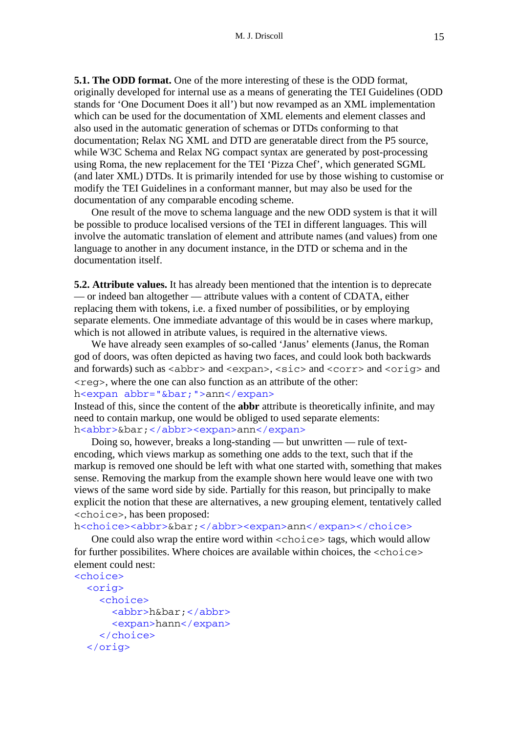**5.1. The ODD format.** One of the more interesting of these is the ODD format, originally developed for internal use as a means of generating the TEI Guidelines (ODD stands for 'One Document Does it all') but now revamped as an XML implementation which can be used for the documentation of XML elements and element classes and also used in the automatic generation of schemas or DTDs conforming to that documentation; Relax NG XML and DTD are generatable direct from the P5 source, while W3C Schema and Relax NG compact syntax are generated by post-processing using Roma, the new replacement for the TEI 'Pizza Chef', which generated SGML (and later XML) DTDs. It is primarily intended for use by those wishing to customise or modify the TEI Guidelines in a conformant manner, but may also be used for the documentation of any comparable encoding scheme.

One result of the move to schema language and the new ODD system is that it will be possible to produce localised versions of the TEI in different languages. This will involve the automatic translation of element and attribute names (and values) from one language to another in any document instance, in the DTD or schema and in the documentation itself.

**5.2. Attribute values.** It has already been mentioned that the intention is to deprecate — or indeed ban altogether — attribute values with a content of CDATA, either replacing them with tokens, i.e. a fixed number of possibilities, or by employing separate elements. One immediate advantage of this would be in cases where markup, which is not allowed in atribute values, is required in the alternative views.

We have already seen examples of so-called 'Janus' elements (Janus, the Roman god of doors, was often depicted as having two faces, and could look both backwards and forwards) such as  $\langle$ abbr> and  $\langle$ expan>,  $\langle$ sic> and  $\langle$ corr> and  $\langle$ orig> and  $\langle$ reg>, where the one can also function as an attribute of the other: h<expan abbr="&bar;">ann</expan>

Instead of this, since the content of the **abbr** attribute is theoretically infinite, and may need to contain markup, one would be obliged to used separate elements: h<abbr>&bar;</abbr><expan>ann</expan>

Doing so, however, breaks a long-standing — but unwritten — rule of textencoding, which views markup as something one adds to the text, such that if the markup is removed one should be left with what one started with, something that makes sense. Removing the markup from the example shown here would leave one with two views of the same word side by side. Partially for this reason, but principally to make explicit the notion that these are alternatives, a new grouping element, tentatively called <choice>, has been proposed:

h<choice><abbr>&bar;</abbr><expan>ann</expan></choice>

One could also wrap the entire word within <choice> tags, which would allow for further possibilites. Where choices are available within choices, the  $\langle$ choice $\rangle$ element could nest:

```
<choice> 
   <orig> 
     <choice> 
        <abbr>h&bar;</abbr> 
        <expan>hann</expan> 
     </choice> 
   </orig>
```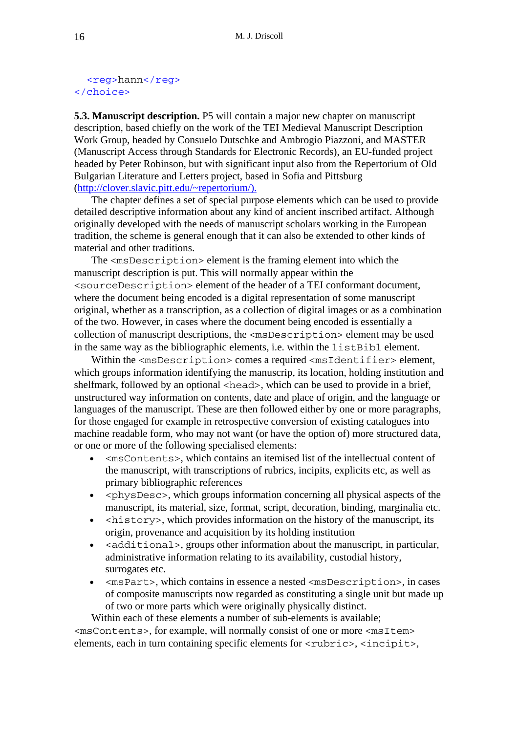#### <reg>hann</reg> </choice>

**5.3. Manuscript description.** P5 will contain a major new chapter on manuscript description, based chiefly on the work of the TEI Medieval Manuscript Description Work Group, headed by Consuelo Dutschke and Ambrogio Piazzoni, and MASTER (Manuscript Access through Standards for Electronic Records), an EU-funded project headed by Peter Robinson, but with significant input also from the Repertorium of Old Bulgarian Literature and Letters project, based in Sofia and Pittsburg (http://clover.slavic.pitt.edu/~repertorium/).

The chapter defines a set of special purpose elements which can be used to provide detailed descriptive information about any kind of ancient inscribed artifact. Although originally developed with the needs of manuscript scholars working in the European tradition, the scheme is general enough that it can also be extended to other kinds of material and other traditions.

The <msDescription> element is the framing element into which the manuscript description is put. This will normally appear within the <sourceDescription> element of the header of a TEI conformant document, where the document being encoded is a digital representation of some manuscript original, whether as a transcription, as a collection of digital images or as a combination of the two. However, in cases where the document being encoded is essentially a collection of manuscript descriptions, the <msDescription> element may be used in the same way as the bibliographic elements, i.e. within the listBibl element.

Within the <msDescription> comes a required <msIdentifier> element, which groups information identifying the manuscrip, its location, holding institution and shelfmark, followed by an optional <head>, which can be used to provide in a brief, unstructured way information on contents, date and place of origin, and the language or languages of the manuscript. These are then followed either by one or more paragraphs, for those engaged for example in retrospective conversion of existing catalogues into machine readable form, who may not want (or have the option of) more structured data, or one or more of the following specialised elements:

- <msContents>, which contains an itemised list of the intellectual content of the manuscript, with transcriptions of rubrics, incipits, explicits etc, as well as primary bibliographic references
- $\langle$  >  $\rangle$   $\langle$  >  $\rangle$   $\langle$   $\rangle$   $\langle$   $\rangle$   $\langle$   $\rangle$   $\langle$   $\rangle$   $\langle$   $\rangle$   $\langle$   $\rangle$   $\langle$   $\rangle$   $\langle$   $\rangle$   $\langle$   $\rangle$   $\langle$   $\rangle$   $\langle$   $\rangle$   $\langle$   $\rangle$   $\langle$   $\rangle$   $\langle$   $\rangle$   $\langle$   $\rangle$   $\langle$   $\rangle$   $\langle$   $\rangle$   $\langle$   $\rangle$   $\langle$   $\rangle$   $\langle$  manuscript, its material, size, format, script, decoration, binding, marginalia etc.
- $\leq$  history  $\geq$ , which provides information on the history of the manuscript, its origin, provenance and acquisition by its holding institution
- <additional>, groups other information about the manuscript, in particular, administrative information relating to its availability, custodial history, surrogates etc.
- <msPart>, which contains in essence a nested <msDescription>, in cases of composite manuscripts now regarded as constituting a single unit but made up of two or more parts which were originally physically distinct.

Within each of these elements a number of sub-elements is available; <msContents>, for example, will normally consist of one or more <msItem> elements, each in turn containing specific elements for  $\langle \text{rubric}\rangle$ ,  $\langle \text{incipit}\rangle$ ,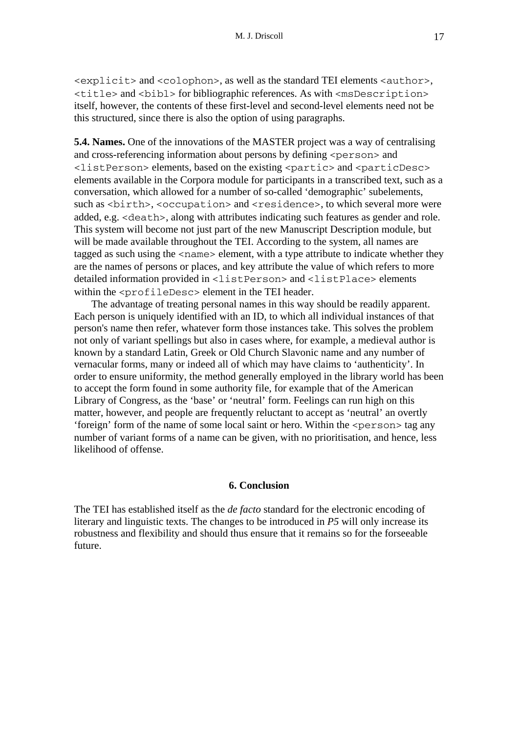<explicit> and <colophon>, as well as the standard TEI elements <author>,  $\le$ title> and  $\le$ bibl> for bibliographic references. As with  $\le$ msDescription> itself, however, the contents of these first-level and second-level elements need not be this structured, since there is also the option of using paragraphs.

**5.4. Names.** One of the innovations of the MASTER project was a way of centralising and cross-referencing information about persons by defining <person> and <listPerson> elements, based on the existing <partic> and <particDesc> elements available in the Corpora module for participants in a transcribed text, such as a conversation, which allowed for a number of so-called 'demographic' subelements, such as <br/>birth>, <occupation> and <residence>, to which several more were added, e.g. <death>, along with attributes indicating such features as gender and role. This system will become not just part of the new Manuscript Description module, but will be made available throughout the TEI. According to the system, all names are tagged as such using the  $\leq$ name $\geq$  element, with a type attribute to indicate whether they are the names of persons or places, and key attribute the value of which refers to more detailed information provided in <listPerson> and <listPlace> elements within the <profileDesc> element in the TEI header.

The advantage of treating personal names in this way should be readily apparent. Each person is uniquely identified with an ID, to which all individual instances of that person's name then refer, whatever form those instances take. This solves the problem not only of variant spellings but also in cases where, for example, a medieval author is known by a standard Latin, Greek or Old Church Slavonic name and any number of vernacular forms, many or indeed all of which may have claims to 'authenticity'. In order to ensure uniformity, the method generally employed in the library world has been to accept the form found in some authority file, for example that of the American Library of Congress, as the 'base' or 'neutral' form. Feelings can run high on this matter, however, and people are frequently reluctant to accept as 'neutral' an overtly 'foreign' form of the name of some local saint or hero. Within the <person> tag any number of variant forms of a name can be given, with no prioritisation, and hence, less likelihood of offense.

### **6. Conclusion**

The TEI has established itself as the *de facto* standard for the electronic encoding of literary and linguistic texts. The changes to be introduced in *P5* will only increase its robustness and flexibility and should thus ensure that it remains so for the forseeable future.